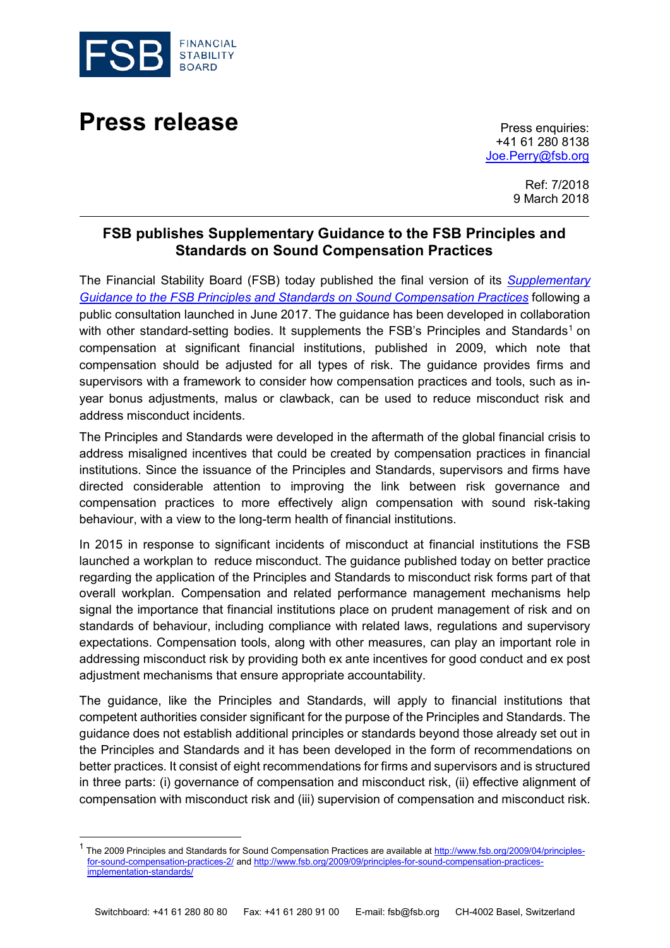

## **Press release** Press enquiries:

+41 61 280 8138 [Joe.Perry@fsb.org](mailto:Joe.Perry@fsb.org)

> Ref: 7/2018 9 March 2018

## **FSB publishes Supplementary Guidance to the FSB Principles and Standards on Sound Compensation Practices**

The Financial Stability Board (FSB) today published the final version of its *[Supplementary](http://www.fsb.org/2018/03/supplementary-guidance-to-the-fsb-principles-and-standards-on-sound-compensation-practices-2/)  [Guidance to the FSB Principles and Standards on Sound Compensation Practices](http://www.fsb.org/2018/03/supplementary-guidance-to-the-fsb-principles-and-standards-on-sound-compensation-practices-2/)* following a public consultation launched in June 2017. The guidance has been developed in collaboration with other standard-setting bodies. It supplements the FSB's Principles and Standards<sup>[1](#page-0-0)</sup> on compensation at significant financial institutions, published in 2009, which note that compensation should be adjusted for all types of risk. The guidance provides firms and supervisors with a framework to consider how compensation practices and tools, such as inyear bonus adjustments, malus or clawback, can be used to reduce misconduct risk and address misconduct incidents.

The Principles and Standards were developed in the aftermath of the global financial crisis to address misaligned incentives that could be created by compensation practices in financial institutions. Since the issuance of the Principles and Standards, supervisors and firms have directed considerable attention to improving the link between risk governance and compensation practices to more effectively align compensation with sound risk-taking behaviour, with a view to the long-term health of financial institutions.

In 2015 in response to significant incidents of misconduct at financial institutions the FSB launched a workplan to reduce misconduct. The guidance published today on better practice regarding the application of the Principles and Standards to misconduct risk forms part of that overall workplan. Compensation and related performance management mechanisms help signal the importance that financial institutions place on prudent management of risk and on standards of behaviour, including compliance with related laws, regulations and supervisory expectations. Compensation tools, along with other measures, can play an important role in addressing misconduct risk by providing both ex ante incentives for good conduct and ex post adjustment mechanisms that ensure appropriate accountability.

The guidance, like the Principles and Standards, will apply to financial institutions that competent authorities consider significant for the purpose of the Principles and Standards. The guidance does not establish additional principles or standards beyond those already set out in the Principles and Standards and it has been developed in the form of recommendations on better practices. It consist of eight recommendations for firms and supervisors and is structured in three parts: (i) governance of compensation and misconduct risk, (ii) effective alignment of compensation with misconduct risk and (iii) supervision of compensation and misconduct risk.

<span id="page-0-0"></span><sup>&</sup>lt;sup>1</sup> The 2009 Principles and Standards for Sound Compensation Practices are available at [http://www.fsb.org/2009/04/principles](http://www.fsb.org/2009/04/principles-for-sound-compensation-practices-2/)[for-sound-compensation-practices-2/](http://www.fsb.org/2009/04/principles-for-sound-compensation-practices-2/) and [http://www.fsb.org/2009/09/principles-for-sound-compensation-practices](http://www.fsb.org/2009/09/principles-for-sound-compensation-practices-implementation-standards/)[implementation-standards/](http://www.fsb.org/2009/09/principles-for-sound-compensation-practices-implementation-standards/)